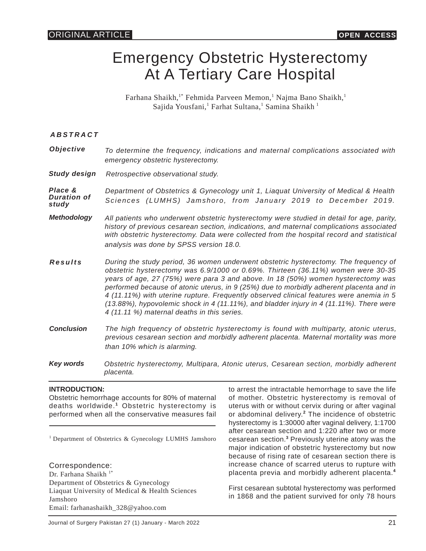# Emergency Obstetric Hysterectomy At A Tertiary Care Hospital

Farhana Shaikh,<sup>1\*</sup> Fehmida Parveen Memon,<sup>1</sup> Najma Bano Shaikh,<sup>1</sup> Sajida Yousfani,<sup>1</sup> Farhat Sultana,<sup>1</sup> Samina Shaikh <sup>1</sup>

*ABSTRACT*

| Objective | To determine the frequency, indications and maternal complications associated with |
|-----------|------------------------------------------------------------------------------------|
|           | emergency obstetric hysterectomy.                                                  |

*Study design Retrospective observational study.*

*Place & Duration of study Department of Obstetrics & Gynecology unit 1, Liaquat University of Medical & Health Sciences (LUMHS) Jamshoro, from January 2019 to December 2019.*

- *Methodology All patients who underwent obstetric hysterectomy were studied in detail for age, parity, history of previous cesarean section, indications, and maternal complications associated with obstetric hysterectomy. Data were collected from the hospital record and statistical analysis was done by SPSS version 18.0.*
- *Results During the study period, 36 women underwent obstetric hysterectomy. The frequency of obstetric hysterectomy was 6.9/1000 or 0.69%. Thirteen (36.11%) women were 30-35 years of age, 27 (75%) were para 3 and above. In 18 (50%) women hysterectomy was performed because of atonic uterus, in 9 (25%) due to morbidly adherent placenta and in 4 (11.11%) with uterine rupture. Frequently observed clinical features were anemia in 5 (13.88%), hypovolemic shock in 4 (11.11%), and bladder injury in 4 (11.11%). There were 4 (11.11 %) maternal deaths in this series.*
- *Conclusion The high frequency of obstetric hysterectomy is found with multiparty, atonic uterus, previous cesarean section and morbidly adherent placenta. Maternal mortality was more than 10% which is alarming.*
- *Key words Obstetric hysterectomy, Multipara, Atonic uterus, Cesarean section, morbidly adherent placenta.*

#### **INTRODUCTION:**

Obstetric hemorrhage accounts for 80% of maternal deaths worldwide.**<sup>1</sup>** Obstetric hysterectomy is performed when all the conservative measures fail

<sup>1</sup> Department of Obstetrics & Gynecology LUMHS Jamshoro

Correspondence: Dr. Farhana Shaikh<sup>1\*</sup> Department of Obstetrics & Gynecology Liaquat University of Medical & Health Sciences Jamshoro Email: farhanashaikh\_328@yahoo.com

to arrest the intractable hemorrhage to save the life of mother. Obstetric hysterectomy is removal of uterus with or without cervix during or after vaginal or abdominal delivery.**<sup>2</sup>** The incidence of obstetric hysterectomy is 1:30000 after vaginal delivery, 1:1700 after cesarean section and 1:220 after two or more cesarean section.<sup>3</sup> Previously uterine atony was the major indication of obstetric hysterectomy but now because of rising rate of cesarean section there is increase chance of scarred uterus to rupture with placenta previa and morbidly adherent placenta.**<sup>4</sup>**

First cesarean subtotal hysterectomy was performed in 1868 and the patient survived for only 78 hours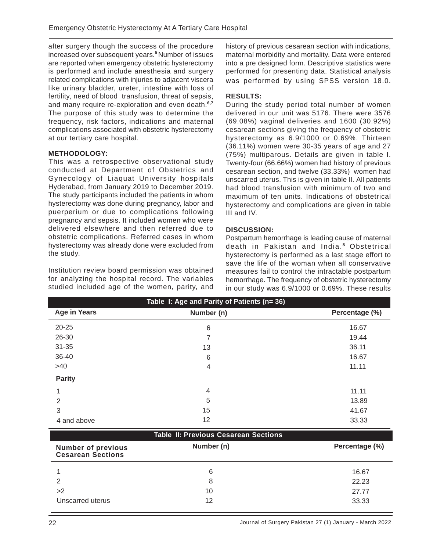after surgery though the success of the procedure increased over subsequent years.**<sup>5</sup>**Number of issues are reported when emergency obstetric hysterectomy is performed and include anesthesia and surgery related complications with injuries to adjacent viscera like urinary bladder, ureter, intestine with loss of fertility, need of blood transfusion, threat of sepsis, and many require re-exploration and even death.**6,7** The purpose of this study was to determine the frequency, risk factors, indications and maternal complications associated with obstetric hysterectomy at our tertiary care hospital.

#### **METHODOLOGY:**

This was a retrospective observational study conducted at Department of Obstetrics and Gynecology of Liaquat University hospitals Hyderabad, from January 2019 to December 2019. The study participants included the patients in whom hysterectomy was done during pregnancy, labor and puerperium or due to complications following pregnancy and sepsis. It included women who were delivered elsewhere and then referred due to obstetric complications. Referred cases in whom hysterectomy was already done were excluded from the study*.*

Institution review board permission was obtained for analyzing the hospital record. The variables studied included age of the women, parity, and history of previous cesarean section with indications, maternal morbidity and mortality. Data were entered into a pre designed form. Descriptive statistics were performed for presenting data. Statistical analysis was performed by using SPSS version 18.0.

### **RESULTS:**

During the study period total number of women delivered in our unit was 5176. There were 3576 (69.08%) vaginal deliveries and 1600 (30.92%) cesarean sections giving the frequency of obstetric hysterectomy as 6.9/1000 or 0.69%. Thirteen (36.11%) women were 30-35 years of age and 27 (75%) multiparous. Details are given in table I. Twenty-four (66.66%) women had history of previous cesarean section, and twelve (33.33%) women had unscarred uterus. This is given in table II. All patients had blood transfusion with minimum of two and maximum of ten units. Indications of obstetrical hysterectomy and complications are given in table III and IV.

#### **DISCUSSION:**

Postpartum hemorrhage is leading cause of maternal death in Pakistan and India. **<sup>8</sup>**Obstetrical hysterectomy is performed as a last stage effort to save the life of the woman when all conservative measures fail to control the intractable postpartum hemorrhage. The frequency of obstetric hysterectomy in our study was 6.9/1000 or 0.69%. These results

| Table I: Age and Parity of Patients (n= 36) |            |                |  |  |
|---------------------------------------------|------------|----------------|--|--|
| <b>Age in Years</b>                         | Number (n) | Percentage (%) |  |  |
| $20 - 25$                                   | 6          | 16.67          |  |  |
| 26-30                                       | 7          | 19.44          |  |  |
| $31 - 35$                                   | 13         | 36.11          |  |  |
| 36-40                                       | 6          | 16.67          |  |  |
| $>40$                                       | 4          | 11.11          |  |  |
| <b>Parity</b>                               |            |                |  |  |
|                                             | 4          | 11.11          |  |  |
| $\overline{2}$                              | 5          | 13.89          |  |  |
| 3                                           | 15         | 41.67          |  |  |
| 4 and above                                 | 12         | 33.33          |  |  |

#### **Table II: Previous Cesarean Sections**

| <b>Number of previous</b><br><b>Cesarean Sections</b> | Number (n) | Percentage (%) |
|-------------------------------------------------------|------------|----------------|
|                                                       | 6          | 16.67          |
| $\mathcal{D}$                                         | 8          | 22.23          |
| >2                                                    | 10         | 27.77          |
| Unscarred uterus                                      | 12         | 33.33          |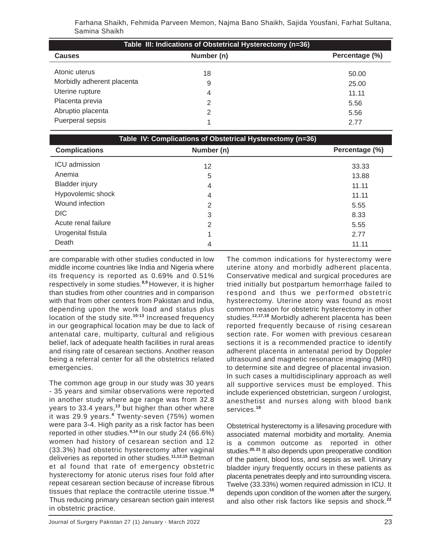Farhana Shaikh, Fehmida Parveen Memon, Najma Bano Shaikh, Sajida Yousfani, Farhat Sultana, Samina Shaikh

| Table III: Indications of Obstetrical Hysterectomy (n=36) |                |                |  |  |  |
|-----------------------------------------------------------|----------------|----------------|--|--|--|
| <b>Causes</b>                                             | Number (n)     | Percentage (%) |  |  |  |
| Atonic uterus                                             | 18             | 50.00          |  |  |  |
| Morbidly adherent placenta                                | 9              | 25.00          |  |  |  |
| Uterine rupture                                           | $\overline{4}$ | 11.11          |  |  |  |
| Placenta previa                                           | 2              | 5.56           |  |  |  |
| Abruptio placenta                                         | 2              | 5.56           |  |  |  |
| Puerperal sepsis                                          |                | 2.77           |  |  |  |

| Table IV: Complications of Obstetrical Hysterectomy (n=36) |            |                |  |  |
|------------------------------------------------------------|------------|----------------|--|--|
| <b>Complications</b>                                       | Number (n) | Percentage (%) |  |  |
| ICU admission                                              | 12         | 33.33          |  |  |
| Anemia                                                     | 5          | 13.88          |  |  |
| <b>Bladder injury</b>                                      | 4          | 11.11          |  |  |
| Hypovolemic shock                                          | 4          | 11.11          |  |  |
| Wound infection                                            | 2          | 5.55           |  |  |
| <b>DIC</b>                                                 | 3          | 8.33           |  |  |
| Acute renal failure                                        | 2          | 5.55           |  |  |
| Urogenital fistula                                         | 4          | 2.77           |  |  |
| Death                                                      | 4          | 11.11          |  |  |

are comparable with other studies conducted in low middle income countries like India and Nigeria where its frequency is reported as 0.69% and 0.51% respectively in some studies.**8,9** However, it is higher than studies from other countries and in comparison with that from other centers from Pakistan and India, depending upon the work load and status plus location of the study site.**10-13** Increased frequency in our geographical location may be due to lack of antenatal care, multiparty, cultural and religious belief, lack of adequate health facilities in rural areas and rising rate of cesarean sections. Another reason being a referral center for all the obstetrics related emergencies.

The common age group in our study was 30 years - 35 years and similar observations were reported in another study where age range was from 32.8 years to 33.4 years,**<sup>13</sup>** but higher than other where it was 29.9 years.**<sup>4</sup>** Twenty-seven (75%) women were para 3-4. High parity as a risk factor has been reported in other studies.**4,14** In our study 24 (66.6%) women had history of cesarean section and 12 (33.3%) had obstetric hysterectomy after vaginal deliveries as reported in other studies.**11,12,15** Betman et al found that rate of emergency obstetric hysterectomy for atonic uterus rises four fold after repeat cesarean section because of increase fibrous tissues that replace the contractile uterine tissue.**<sup>16</sup>** Thus reducing primary cesarean section gain interest in obstetric practice.

The common indications for hysterectomy were uterine atony and morbidly adherent placenta. Conservative medical and surgical procedures are tried initially but postpartum hemorrhage failed to respond and thus we performed obstetric hysterectomy. Uterine atony was found as most common reason for obstetric hysterectomy in other studies.**12,17,18** Morbidly adherent placenta has been reported frequently because of rising cesarean section rate. For women with previous cesarean sections it is a recommended practice to identify adherent placenta in antenatal period by Doppler ultrasound and magnetic resonance imaging (MRI) to determine site and degree of placental invasion. In such cases a multidisciplinary approach as well all supportive services must be employed. This include experienced obstetrician, surgeon / urologist, anesthetist and nurses along with blood bank services.**<sup>18</sup>**

Obstetrical hysterectomy is a lifesaving procedure with associated maternal morbidity and mortality. Anemia is a common outcome as reported in other studies.**20, 21** It also depends upon preoperative condition of the patient, blood loss, and sepsis as well. Urinary bladder injury frequently occurs in these patients as placenta penetrates deeply and into surrounding viscera. Twelve (33.33%) women required admission in ICU. It depends upon condition of the women after the surgery, and also other risk factors like sepsis and shock.**<sup>22</sup>**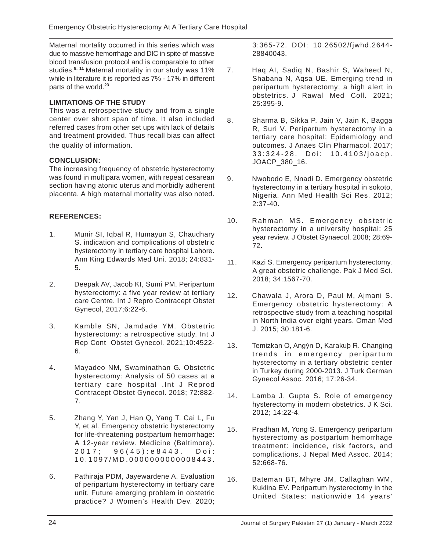Maternal mortality occurred in this series which was due to massive hemorrhage and DIC in spite of massive blood transfusion protocol and is comparable to other studies.**8, 11** Maternal mortality in our study was 11% while in literature it is reported as 7% - 17% in different parts of the world.**<sup>23</sup>**

# **LIMITATIONS OF THE STUDY**

This was a retrospective study and from a single center over short span of time. It also included referred cases from other set ups with lack of details and treatment provided. Thus recall bias can affect the quality of information.

# **CONCLUSION:**

The increasing frequency of obstetric hysterectomy was found in multipara women, with repeat cesarean section having atonic uterus and morbidly adherent placenta. A high maternal mortality was also noted.

### **REFERENCES:**

- 1. Munir SI, Iqbal R, Humayun S, Chaudhary S. indication and complications of obstetric hysterectomy in tertiary care hospital Lahore. Ann King Edwards Med Uni. 2018; 24:831- 5.
- 2. Deepak AV, Jacob KI, Sumi PM. Peripartum hysterectomy: a five year review at tertiary care Centre. Int J Repro Contracept Obstet Gynecol, 2017;6:22-6.
- 3. Kamble SN, Jamdade YM. Obstetric hysterectomy: a retrospective study. Int J Rep Cont Obstet Gynecol. 2021;10:4522- 6.
- 4. Mayadeo NM, Swaminathan G. Obstetric hysterectomy: Analysis of 50 cases at a tertiary care hospital .Int J Reprod Contracept Obstet Gynecol. 2018; 72:882- 7.
- 5. Zhang Y, Yan J, Han Q, Yang T, Cai L, Fu Y, et al. Emergency obstetric hysterectomy for life-threatening postpartum hemorrhage: A 12-year review. Medicine (Baltimore). 2017; 96(45):e8443. Doi: 10.1097/MD.0000000000008443.
- 6. Pathiraja PDM, Jayewardene A. Evaluation of peripartum hysterectomy in tertiary care unit. Future emerging problem in obstetric practice? J Women's Health Dev. 2020;

3:365-72. DOI: 10.26502/fjwhd.2644- 28840043.

- 7. Haq AI, Sadiq N, Bashir S, Waheed N, Shabana N, Aqsa UE. Emerging trend in peripartum hysterectomy; a high alert in obstetrics. J Rawal Med Coll. 2021; 25:395-9.
- 8. Sharma B, Sikka P, Jain V, Jain K, Bagga R, Suri V. Peripartum hysterectomy in a tertiary care hospital: Epidemiology and outcomes. J Anaes Clin Pharmacol. 2017; 33:324-28. Doi: 10.4103/joacp. JOACP\_380\_16.
- 9. Nwobodo E, Nnadi D. Emergency obstetric hysterectomy in a tertiary hospital in sokoto, Nigeria. Ann Med Health Sci Res. 2012; 2:37-40.
- 10. Rahman MS. Emergency obstetric hysterectomy in a university hospital: 25 year review. J Obstet Gynaecol. 2008; 28:69- 72.
- 11. Kazi S. Emergency peripartum hysterectomy. A great obstetric challenge. Pak J Med Sci. 2018; 34:1567-70.
- 12. Chawala J, Arora D, Paul M, Ajmani S. Emergency obstetric hysterectomy: A retrospective study from a teaching hospital in North India over eight years. Oman Med J. 2015; 30:181-6.
- 13. Temizkan O, Angýn D, Karakuþ R. Changing trends in emergency peripartum hysterectomy in a tertiary obstetric center in Turkey during 2000-2013. J Turk German Gynecol Assoc. 2016; 17:26-34.
- 14. Lamba J, Gupta S. Role of emergency hysterectomy in modern obstetrics. J K Sci. 2012; 14:22-4.
- 15. Pradhan M, Yong S. Emergency peripartum hysterectomy as postpartum hemorrhage treatment: incidence, risk factors, and complications. J Nepal Med Assoc. 2014; 52:668-76.
- 16. Bateman BT, Mhyre JM, Callaghan WM, Kuklina EV. Peripartum hysterectomy in the United States: nationwide 14 years'